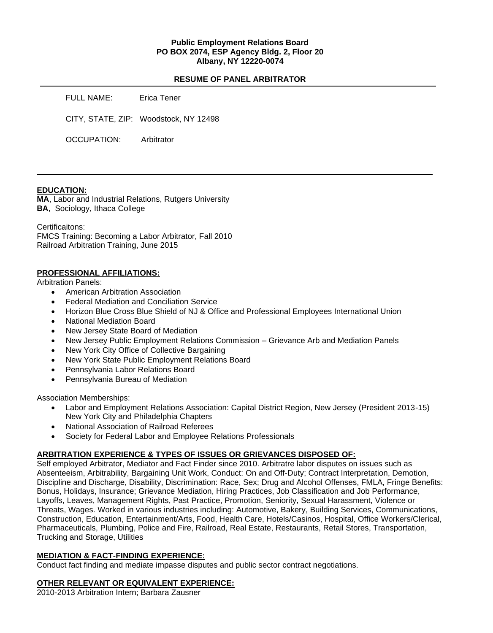#### **Public Employment Relations Board PO BOX 2074, ESP Agency Bldg. 2, Floor 20 Albany, NY 12220-0074**

#### **RESUME OF PANEL ARBITRATOR**

| FULL NAME:  | Erica Tener                           |
|-------------|---------------------------------------|
|             | CITY, STATE, ZIP: Woodstock, NY 12498 |
| OCCUPATION: | Arbitrator                            |

#### **EDUCATION:**

**MA**, Labor and Industrial Relations, Rutgers University **BA**, Sociology, Ithaca College

Certificaitons:

FMCS Training: Becoming a Labor Arbitrator, Fall 2010 Railroad Arbitration Training, June 2015

#### **PROFESSIONAL AFFILIATIONS:**

Arbitration Panels:

- American Arbitration Association
- Federal Mediation and Conciliation Service
- Horizon Blue Cross Blue Shield of NJ & Office and Professional Employees International Union
- National Mediation Board
- New Jersey State Board of Mediation
- New Jersey Public Employment Relations Commission Grievance Arb and Mediation Panels
- New York City Office of Collective Bargaining
- New York State Public Employment Relations Board
- Pennsylvania Labor Relations Board
- Pennsylvania Bureau of Mediation

Association Memberships:

- Labor and Employment Relations Association: Capital District Region, New Jersey (President 2013-15) New York City and Philadelphia Chapters
- National Association of Railroad Referees
- Society for Federal Labor and Employee Relations Professionals

## **ARBITRATION EXPERIENCE & TYPES OF ISSUES OR GRIEVANCES DISPOSED OF:**

Self employed Arbitrator, Mediator and Fact Finder since 2010. Arbitratre labor disputes on issues such as Absenteeism, Arbitrability, Bargaining Unit Work, Conduct: On and Off-Duty; Contract Interpretation, Demotion, Discipline and Discharge, Disability, Discrimination: Race, Sex; Drug and Alcohol Offenses, FMLA, Fringe Benefits: Bonus, Holidays, Insurance; Grievance Mediation, Hiring Practices, Job Classification and Job Performance, Layoffs, Leaves, Management Rights, Past Practice, Promotion, Seniority, Sexual Harassment, Violence or Threats, Wages. Worked in various industries including: Automotive, Bakery, Building Services, Communications, Construction, Education, Entertainment/Arts, Food, Health Care, Hotels/Casinos, Hospital, Office Workers/Clerical, Pharmaceuticals, Plumbing, Police and Fire, Railroad, Real Estate, Restaurants, Retail Stores, Transportation, Trucking and Storage, Utilities

## **MEDIATION & FACT-FINDING EXPERIENCE:**

Conduct fact finding and mediate impasse disputes and public sector contract negotiations.

## **OTHER RELEVANT OR EQUIVALENT EXPERIENCE:**

2010-2013 Arbitration Intern; Barbara Zausner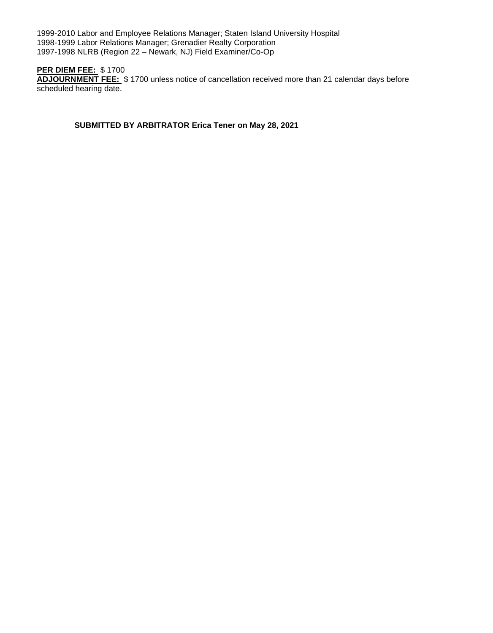1999-2010 Labor and Employee Relations Manager; Staten Island University Hospital 1998-1999 Labor Relations Manager; Grenadier Realty Corporation 1997-1998 NLRB (Region 22 – Newark, NJ) Field Examiner/Co-Op

# **PER DIEM FEE:** \$ 1700

**ADJOURNMENT FEE:** \$ 1700 unless notice of cancellation received more than 21 calendar days before scheduled hearing date.

**SUBMITTED BY ARBITRATOR Erica Tener on May 28, 2021**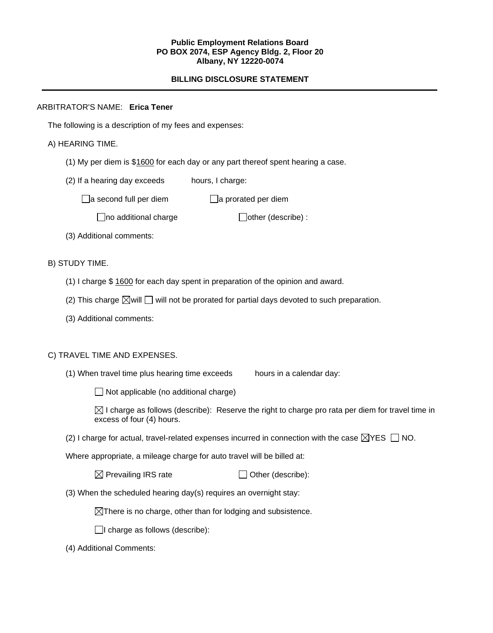#### **Public Employment Relations Board PO BOX 2074, ESP Agency Bldg. 2, Floor 20 Albany, NY 12220-0074**

## **BILLING DISCLOSURE STATEMENT**

# ARBITRATOR'S NAME: **Erica Tener**

The following is a description of my fees and expenses:

## A) HEARING TIME.

- (1) My per diem is \$1600 for each day or any part thereof spent hearing a case.
- (2) If a hearing day exceeds hours, I charge:

 $\Box$ a second full per diem  $\Box$ a prorated per diem

 $\Box$ no additional charge  $\Box$ other (describe) :

(3) Additional comments:

B) STUDY TIME.

- (1) I charge \$ 1600 for each day spent in preparation of the opinion and award.
- (2) This charge  $\boxtimes$  will  $\Box$  will not be prorated for partial days devoted to such preparation.
- (3) Additional comments:

## C) TRAVEL TIME AND EXPENSES.

(1) When travel time plus hearing time exceeds hours in a calendar day:

 $\Box$  Not applicable (no additional charge)

 $\boxtimes$  I charge as follows (describe): Reserve the right to charge pro rata per diem for travel time in excess of four (4) hours.

(2) I charge for actual, travel-related expenses incurred in connection with the case  $\boxtimes$ YES  $\Box$  NO.

Where appropriate, a mileage charge for auto travel will be billed at:

 $\boxtimes$  Prevailing IRS rate  $\Box$  Other (describe):

(3) When the scheduled hearing day(s) requires an overnight stay:

 $\boxtimes$ There is no charge, other than for lodging and subsistence.

 $\Box$ I charge as follows (describe):

(4) Additional Comments: